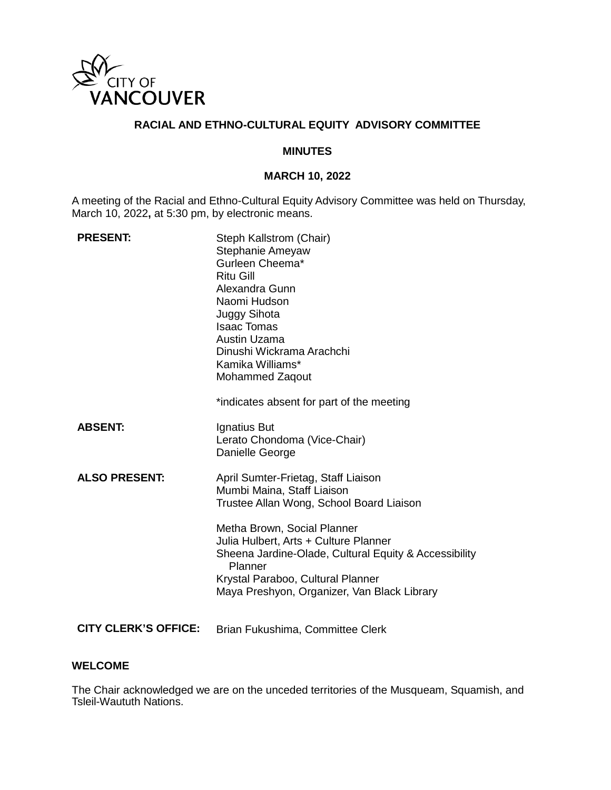

### **RACIAL AND ETHNO-CULTURAL EQUITY ADVISORY COMMITTEE**

#### **MINUTES**

### **MARCH 10, 2022**

A meeting of the Racial and Ethno-Cultural Equity Advisory Committee was held on Thursday, March 10, 2022**,** at 5:30 pm, by electronic means.

| <b>PRESENT:</b>             | Steph Kallstrom (Chair)<br>Stephanie Ameyaw<br>Gurleen Cheema*<br><b>Ritu Gill</b><br>Alexandra Gunn<br>Naomi Hudson<br>Juggy Sihota<br><b>Isaac Tomas</b><br>Austin Uzama<br>Dinushi Wickrama Arachchi<br>Kamika Williams*<br>Mohammed Zaqout<br>*indicates absent for part of the meeting                                                   |
|-----------------------------|-----------------------------------------------------------------------------------------------------------------------------------------------------------------------------------------------------------------------------------------------------------------------------------------------------------------------------------------------|
| <b>ABSENT:</b>              | Ignatius But<br>Lerato Chondoma (Vice-Chair)<br>Danielle George                                                                                                                                                                                                                                                                               |
| <b>ALSO PRESENT:</b>        | April Sumter-Frietag, Staff Liaison<br>Mumbi Maina, Staff Liaison<br>Trustee Allan Wong, School Board Liaison<br>Metha Brown, Social Planner<br>Julia Hulbert, Arts + Culture Planner<br>Sheena Jardine-Olade, Cultural Equity & Accessibility<br>Planner<br>Krystal Paraboo, Cultural Planner<br>Maya Preshyon, Organizer, Van Black Library |
| <b>CITY CLERK'S OFFICE:</b> | Brian Fukushima, Committee Clerk                                                                                                                                                                                                                                                                                                              |

### **WELCOME**

The Chair acknowledged we are on the unceded territories of the Musqueam, Squamish, and Tsleil-Waututh Nations.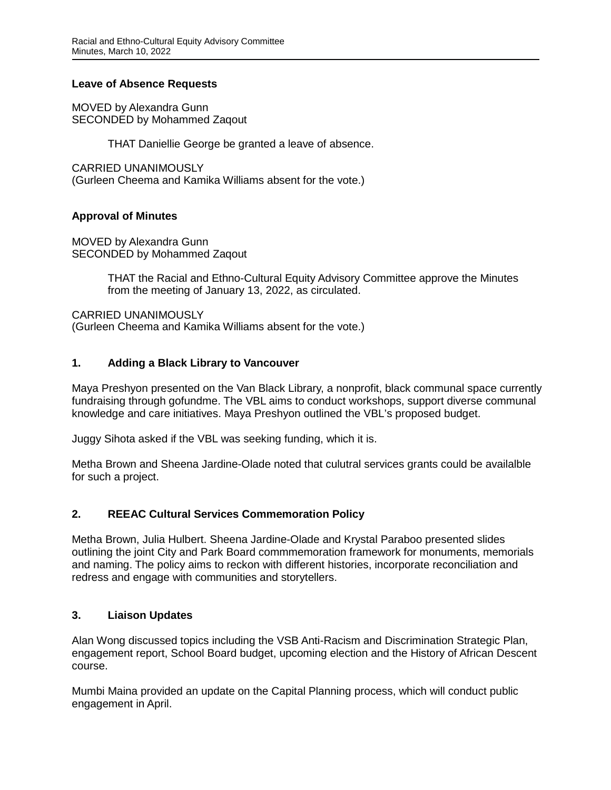### **Leave of Absence Requests**

MOVED by Alexandra Gunn SECONDED by Mohammed Zaqout

THAT Daniellie George be granted a leave of absence.

CARRIED UNANIMOUSLY (Gurleen Cheema and Kamika Williams absent for the vote.)

# **Approval of Minutes**

MOVED by Alexandra Gunn SECONDED by Mohammed Zaqout

> THAT the Racial and Ethno-Cultural Equity Advisory Committee approve the Minutes from the meeting of January 13, 2022, as circulated.

CARRIED UNANIMOUSLY (Gurleen Cheema and Kamika Williams absent for the vote.)

# **1. Adding a Black Library to Vancouver**

Maya Preshyon presented on the Van Black Library, a nonprofit, black communal space currently fundraising through gofundme. The VBL aims to conduct workshops, support diverse communal knowledge and care initiatives. Maya Preshyon outlined the VBL's proposed budget.

Juggy Sihota asked if the VBL was seeking funding, which it is.

Metha Brown and Sheena Jardine-Olade noted that culutral services grants could be availalble for such a project.

# **2. REEAC Cultural Services Commemoration Policy**

Metha Brown, Julia Hulbert. Sheena Jardine-Olade and Krystal Paraboo presented slides outlining the joint City and Park Board commmemoration framework for monuments, memorials and naming. The policy aims to reckon with different histories, incorporate reconciliation and redress and engage with communities and storytellers.

# **3. Liaison Updates**

Alan Wong discussed topics including the VSB Anti-Racism and Discrimination Strategic Plan, engagement report, School Board budget, upcoming election and the History of African Descent course.

Mumbi Maina provided an update on the Capital Planning process, which will conduct public engagement in April.